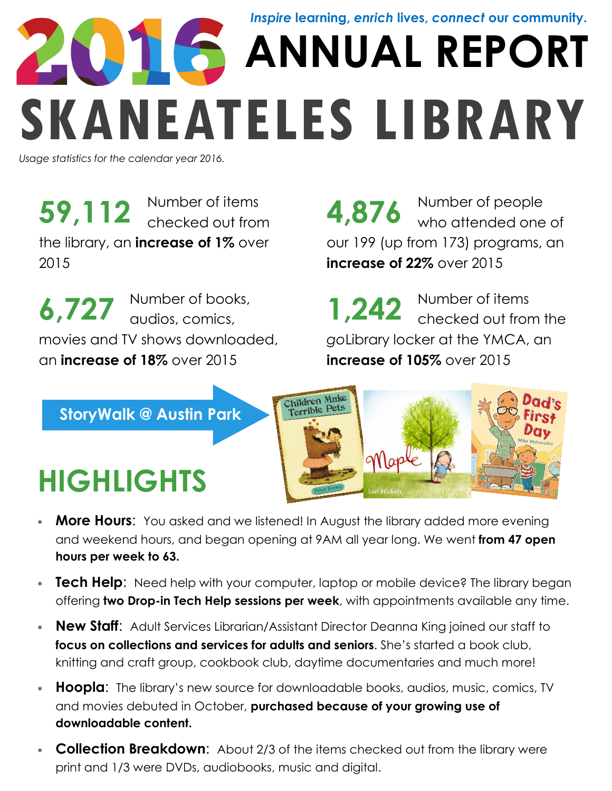# **ANNUAL REPORT SKANEATELES LIBRARY** *Inspire* **learning,** *enrich* **lives,** *connect* **our community.**

*Usage statistics for the calendar year 2016.*

Number of items **59,112** Number of items **4,876** Number of people checked out from **4,876** who attended one the library, an **increase of 1%** over 2015

Number of books, audios, comics, movies and TV shows downloaded, an **increase of 18%** over 2015 **6,727** Number of books,<br>**1,242** Number of items

**4,876** Number of people<br>who attended one of our 199 (up from 173) programs, an **increase of 22%** over 2015

checked out from the *go*Library locker at the YMCA, an **increase of 105%** over 2015 **1,242**

**StoryWalk @ Austin Park**

## **HIGHLIGHTS**



- **More Hours:** You asked and we listened! In August the library added more evening and weekend hours, and began opening at 9AM all year long. We went **from 47 open hours per week to 63.**
- **Tech Help:** Need help with your computer, laptop or mobile device? The library began offering **two Drop-in Tech Help sessions per week**, with appointments available any time.
- **New Staff:** Adult Services Librarian/Assistant Director Deanna King joined our staff to **focus on collections and services for adults and seniors**. She's started a book club, knitting and craft group, cookbook club, daytime documentaries and much more!
- **Hoopla**: The library's new source for downloadable books, audios, music, comics, TV and movies debuted in October, **purchased because of your growing use of downloadable content.**
- **Collection Breakdown:** About 2/3 of the items checked out from the library were print and 1/3 were DVDs, audiobooks, music and digital.